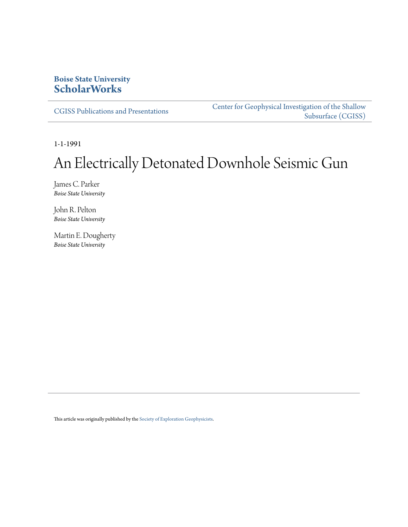# **Boise State University [ScholarWorks](https://scholarworks.boisestate.edu)**

[CGISS Publications and Presentations](https://scholarworks.boisestate.edu/cgiss_facpubs)

[Center for Geophysical Investigation of the Shallow](https://scholarworks.boisestate.edu/cgiss) [Subsurface \(CGISS\)](https://scholarworks.boisestate.edu/cgiss)

1-1-1991

# An Electrically Detonated Downhole Seismic Gun

James C. Parker *Boise State University*

John R. Pelton *Boise State University*

Martin E. Dougherty *Boise State University*

This article was originally published by the [Society of Exploration Geophysicists](http://www.seg.org).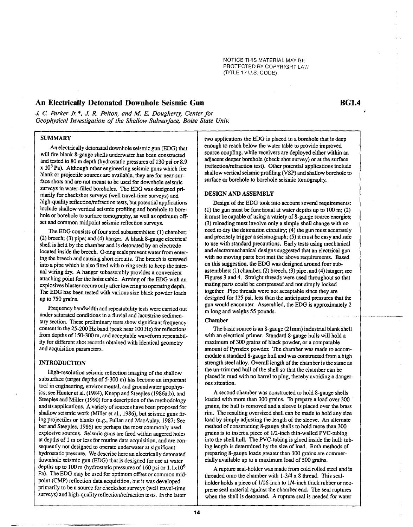NOTICE THIS MATERIAL MAY BE PROTECTED BY COPYRIGHT LAW (TITLE 17 U.S. CODE).

# **An Electrically Detonated Downhole Seismic Gun**

*J.* C *Parker* **Jr..,** *J. R. Pelton, and M E. Dougherty, Center for Geophysical Investigation of the Shallow Subsurface, Boise State Univ.* 

# **SUMMARY**

An electrically detonated downhole seismic gun (EDG) that will fire blank 8-gauge shells underwater has been constructed and tested to 80 m depth (hydrostatic pressures of 130 psi or 8.9  $x$  10<sup>5</sup> Pa). Although other engineering seismic guns which fire blank or projectile sources are available, they are for near-surface shots and are not meant to be used for downhole seismic surveys in water-filled boreholes. The EDG was designed primarily for checkshot surveys (well travel-time surveys) and high-quality reflection/refraction tests, but potential applications include shallow vertical seismic profiling and borehole to borehole or borehole to surface tomography, as well as optimum offset and common midpoint seismic reflection surveys.

The EDG consists of four steel subassemblies: (1) chamber; (2) breech; (3) pipe; and (4) hanger. A blank 8-gauge electrical shell is held by the chamber and is detonated by an electrode located inside the breech. O-ring seals prevent water from entering the breech and causing short circuits. The breech is screwed into a pipe which is also fitted with o-ring seals to keep the internal wiring dry. A hanger subassembly provides a convenient attaching point for the hoist cable. Arming of the EDG with an explosives blaster occurs only after lowering to operating depth. The EDG has been tested with various size black powder loads up to 750 grains.

Frequency bandwidth and repeatability tests were carried out under saturated conditions in a fluvial and lacustrine sedimentary section. These preliminary tests show significant frequency content in the 25-200 Hz band (peak near 100 Hz) for reflections from depths of 150-300 m, and acceptable waveform repeatability for different shot records obtained with identical geometry and acquisition parameters.

#### **INTRODUCTION**

High-resolution seismic reflection imaging of the shallow subsurface (target depths of 5-300 m) has become an important tool in engineering, environmental, and groundwater geophysics; see Hunter et al. (1984), Knapp and Steeples (1986a;b), and Steeples and Miller (1990) for a description of the methodology and its applications. A variety of sources have been proposed for shallow seismic work (Miller et aI., 1986), but seismic guns firing projectiles or blanks (e.g., Pullan and MacAulay, 1987; Seeber and Steeples, 1986) are perhaps the most commonly used explosive sources. Seismic guns are fired within augered holes at depths of 1 m or less for routine data acquisition, and are consequently not designed to operate underwater at significant hydrostatic pressure. We describe here an electrical1y detonated downhole seismic gun (EDG) that is designed for use at water depths up to 100 m (hydrostatic pressures of 160 psi or  $1.1 \times 10^6$ Pa). The EDG may be used for optimum offset or common midpoint (CMP) reflection data acquisition, but it was developed primarily to be a source for checkshot surveys (well travel-time surveys) and high-quality reflection/refraction tests. In the latter

two applications the EDG is placed in a borehole that is deep enough to reach below the water table to provide improved source coupling, while receivers are deployed either within an adjacent deeper borehole (check shot survey) or at the surface (reflection/refraction test). Other potential applications include shallow vertical seismic profiling (VSP) and shallow borehole to surface or borehole to borehole seismic tomography.

#### **DESIGN AND ASSEMBLY**

Design of the EDG took into account several requirements: (1) the gun must be functional at water depths up to 100 m; (2) it must be capable of using a variety of 8-gauge source energies; (3) reloading must involve only a simple shell change with no need to dry the detonation circuitry; (4) the gun must accurately and precisely trigger a seismograph; (5) it must be easy and safe to use with standard precautions. Early tests using mechanical and electromechanical designs suggested that an electrical gun with no moving parts best met the above requirements. Based on this suggestion, the EDG was designed around four subassemblies: (1) chamber, (2) breech, (3) pipe, and (4) hanger; see Figures 3 and 4. Straight threads were used throughout so that mating parts could be compressed and not simply locked together. Pipe threads were not acceptable since they are designed for 125 psi, less than the anticipated pressures that the gun would encounter. Assembled, the EDG is approximately 2 m long and weighs 55 pounds.

#### **Chamber**

The basic source is an 8-gauge (21mm) industrial blank shell with an electrical primer. Standard 8-gauge hulls will hold a maximum of 300 grains of black powder, or a comparable amount of Pyrodex powder. The chamber was made to accommodate a standard 8-gauge hull and was constructed from a high strength steel alloy. Overall length of the chamber is the same as the un-trimmed hull of the shell so that the chamber can be placed in mud with no barrel to plug, thereby avoiding a dangerous situation.

A second chamber was constructed to hold 8-gauge shells loaded with more than 300 grains. To prepare a load over 300 grains, the hull is removed and a sleeve is placed over the brass rim. The resulting oversized shell can be made to hold any size load by simply adjusting the length of the sleeve. An alternate method of constructing 8-gauge shells to hold more than 300 grains is to insert a piece of 1/2-inch thin-walled PVC-tubing into the shell hull. The PVC-tubing is glued inside the hull; tubing length is determined by the size of load. Both methods of preparing 8-gauge loads greater than 300 grains are commercially available up to a maximum load of 500 grains.

A rupture seal-holder was made from cold rolled steel and is threaded onto the chamber with 1-3/4 x 8 thread. This sealholder holds a piece of 1/16-inch to 1/4-inch thick rubber or neoprene seal material against the chamber end. The seal ruptures when the shell is detonated. A rupture seal is needed for water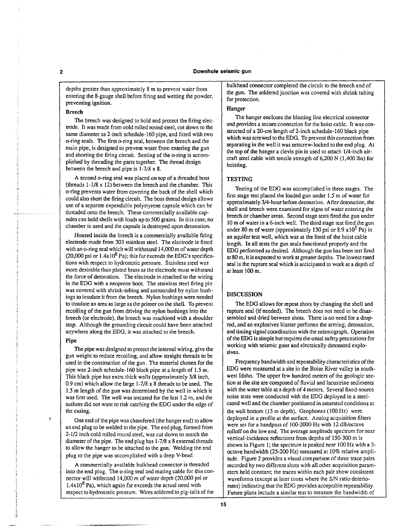depths greater than approximately 8 m to prevent waler from entering the 8-gauge shell before firing and wetting the powder, preventing ignition.

#### Breech

The breech was designed to hold and protect the firing electrode. It was made from cold rolled round steel, cut down to the same diameter as 2-inch schedule-160 pipe, and fitted with two o-ring seals. The first o-ring seal, between the breech and the main pipe, is designed to prevent water from entering the gun and shorting the firing circuit. Seating of the o-ring is accomplished by threading the parts together. The thread design between the breech and pipe is 1-7/8 x 8.

A second o-ring seal was placed on top of a threaded boss (threads 1-1/8 x 12) between the breech and the chamber. This o-ring prevents water from covering the back of the shell which could also short the firing circuit. The boss thread design allows use of a separate expendable polystyrene capsule which can be threaded onto the breech. These commercially available capsules can hold shells with loads up to 500 grains. In this case, no chamber is used and the capsule is destroyed upon detonation.

Housed inside the breech is a commercially available firing electrode made from 303 stainless steel. The electrode is fitted with an o-ring seal which will withstand 14,OOOm of water depth (20,000 psi or  $1.4x10^8$  Pa); this far exceeds the EDG's specifications with respect to hydrostatic pressure. Stainless steel was more desirable than plated brass as the electrode must withstand the force of detonation. The electrode is attached to the wiring in the EDG with a neoprene boot. The stainless steel firing pin was covered with shrink-tubing and surrounded by nylon bushings to insulate it from the breech. Nylon bushings were needed to insulate an area as large as the primer on the shell. To prevent recoiling of the gun from driving the nylon bushings into the breech (or electrode), the breech was machined with a shoulder stop. Although the grounding circuit could have been attached anywhere along the EDG, it was attached to the breech.

#### Pipe

÷

The pipe was designed to protect the internal wiring, give the gun weight to reduce recoiling, and allow straight threads to be used in the construction of the gun. The material chosen for the pipe was 2-inch schedule-160 black pipe at a length of 1.5 m. This black pipe has extra thick walls (approximately 3/8 inch, 0.9 cm) which allow the large  $1-7/8 \times 8$  threads to be used. The 1.5 m length of the gun was determined by the well in which it was first used. The well was uncased for the last 1.2 m, and the authors did not want to risk catching the EDG under the edge of the casing.

One end of the pipe was chamfered (the hanger end) to allow an end plug to be welded to the pipe. The end plug, formed from 2-1/2 inch cold rolled round steel, was cut down to match the diameter of the pipe. The end plug has 1-7/8 x 8 external threads to allow the hanger to be attached to the gun. Welding the end plug to the pipe was accomplished with a deep V-bead.

A commercially available bulkhead connector is threaded into the end plug. The o-ring seal and mating cable for this connector will withstand 14,000 m of water depth (20,000 psi or  $1.4x10^8$  Pa), which again far exceeds the actual need with respect to hydrostatic pressure. Wires soldered to pig-tails of the

bulkhead connector completed the circuit to the breech end of the gun. The soldered junction was covered with shrink tubing for protection.

#### Hanger

The hanger encloses the blasting line electrical connector and provides a secure connection for the hoist cable. It was constructed of a 20-cm length of 2-inch schedule-160 black pipe which was screwed to the EDG. To prevent this connection from separating in the well it was setscrew-locked to the end plug. At the top of the hanger a clevis pin is used to attach l/4-inch aircraft steel cable with tensile strength of 6,200 N (1,400 Ibs) for hoisting.

#### **TESTING**

Testing of the EDG was accomplished in three stages. The first stage test placed the loaded gun under 1.5 m of water for approximately 3/4-hour before detonation. After detonation, the shell and breech were examined for signs of water entering the breech or chamber areas. Second stage tests fired the gun under 10 m of water in a 6-inch well. The third stage test fired the gun under 80 m of water (approximately 130 psi or  $8.9 \times 10^5$  Pa) in an aquifer test well, which was at the limit of the hoist cable length. In all tests the gun seals functioned properly and the EDG performed as desired. Although the gun has been test fired at 80 m, it is expected to work at greater depths. The lowest rated seal is the rupture seal which is anticipated to work at a depth of at least 100 m\_

#### DISCUSSION

The EDG allows for repeat shots by changing the shell and rupture seal (if needed). The breech does not need to be disassembled and dried between shots. There is no need for a droprod, and an explosives blaster performs the arming, detonation, and timing signal coordination with the seismograph. Operation of the EDG is simple but requires the usual safety precautions for working with seismic guns and electrically detonated explosives.

Frequency bandwidth and repeatability characteristics of the EDG were measured at a site in the Boise River valley in southwest Idaho. The upper few hundred meters of the geologic section at the site are composed of fluvial and lacustrine sediments with the water table at a depth of 4 meters. Several fixed-source noise tests were conducted with the EDG deployed in a steelcased well and the chamber positioned in saturated conditions at the well bottom (15 m depth). Geophones (100 Hz) were deployed in a profile at the surface. Analog acquisition filters were set for a bandpass of 100-2000 Hz with 12 dB/octave rolloff on the low end. The average amplitude spectrum for near vertical-incidence reflections from depths of 150-300 m is shown in Figure 1; the spectrum is peaked near 100 Hz with a 3 octave bandwidth (25-200 Hz) measured at 10% relative amplitude. Figure 2 provides a visual comparison of three trace pairs recorded by two different shots with all other acquisition parameters held constant; the traces within each pair show consistent waveforms (except at later times where the *SIN* ratio deteriorates) indicating that the EDG prov ides acceptable repeatability. Future plans include a similar test to measure the bandwidth of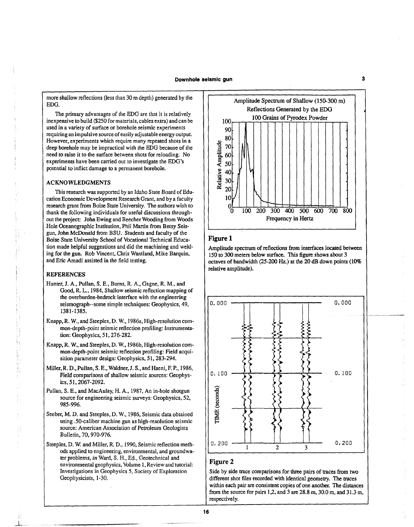more shallow reflections (less than 30 m depth) generated by the EDG.

The primary advantages of the EDG are that it is relatively inexpensive to build (\$250 for materials, cables extra) and can be used in a variety of surface or borehole seismic experiments requiring an impulsive source of easily adjustable energy output. However, experiments which require many repeated shots in a deep borehole may. be impractical with the EDG because of the need to raise it to the surface between shots for reloading. No experiments have been carried out to investigate the EDG's potential to inflict damage to a permanent borehole.

#### ACKNOWLEDGMENTS

This research was supported by an Idaho State Board of Education Economic Development Research Grant, and by a faculty research grant from Boise State University. The authors wish to thank the following individuals for useful discussions throughout the project: John Ewing and Beecher Wooding from Woods Hole Oceanographic Institution, Phil Martin from Betsy Seisgun, John McDonald from BSU. Students and faculty of the Boise State University School of Vocational Technical Education made helpful suggestions and did the machining and welding for the gun. Rob Vincent, Chris Wantland, Mike Barquin, and Eric Amadi assisted in the field testing.

#### REFERENCES

- Hunter, J. A., Pullan, S. E., Bums, R. A., Gagne, R. M., and Good, R. L., 1984, Shallow seismic reflection mapping of the overburden-bedrock interface with the engineering seismograph--some simple techniques: Geophysics, 49, 1381-1385.
- Knapp, R. W., and Steeples, D. W., 1986a, High-resolution common-depth-point seismic reflection profiling: Instrumentation: Geophysics, 51, 276-282.
- Knapp, R. W., and Steeples, D. w., 1986b, High-resolution common-depth-point seismic reflection profiling: Field acquisition parameter design: Geophysics, 51, 283-294.
- Miller, R. D., Pullan, S. E., Waldner,]. *S.,* and Haeni, F. P., 1986, Field comparisons of shallow seismic sources: Geophysics, 51, 2067-2092.
- Pullan, S. E., and MacAulay, H. A., 1987, An in-hole shotgun source for engineering seismic surveys: Geophysics, 52, 985-996.
- Seeber, M. D. and Steeples, D. W., 1986, Seismic data obtained using .50-caliber machine gun as high-resolution seismic source: American Association of Petroleum Geologists Bulletin, 70, 970-976.
- Steeples, D. W. and Miller, R. D., 1990, Seismic reflection methods applied to engineering, environmental, and groundwater problems, *in* Ward, S. H., Ed., Geotechnical and environmental geophysics, Volume 1, Review and tutorial: Investigations in Geophysics 5, Society of Exploration Geophysicists, 1-30.



#### **Figure 1**

Amplitude spectrum of reflections from interfaces located between 150 to 300 meters below surface. This figure shows about 3 octaves of bandwidth (25-200 Hz.) at the 20 dB down points (10% relative amplitude).



### **Figure 2**

Side by side trace comparisons for three pairs of traces from two different shot files recorded with identical geometry. The traces within each pair are consistent copies of one another. The distances from the source for pairs 1,2, and 3 are 28.8 m, 30.0 m, and 31.3 m, respectively.